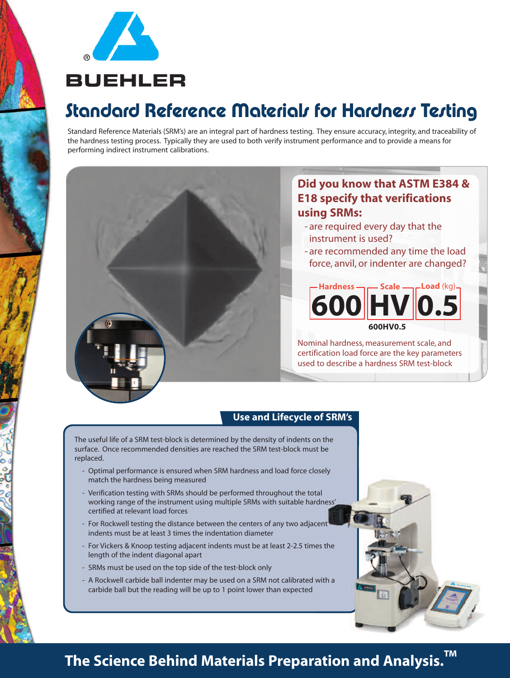

# Standard Reference Materials for Hardness Testing

Standard Reference Materials (SRM's) are an integral part of hardness testing. They ensure accuracy, integrity, and traceability of the hardness testing process. Typically they are used to both verify instrument performance and to provide a means for performing indirect instrument calibrations.

### **Did you know that ASTM E384 & E18 specify that verifications using SRMs:**

- are required every day that the instrument is used?
- are recommended any time the load force, anvil, or indenter are changed?

**Load** (kg) **600HV0.5 600 HV 0.5 Hardness** – Scale

Nominal hardness, measurement scale, and certification load force are the key parameters used to describe a hardness SRM test-block

### **Use and Lifecycle of SRM's**

The useful life of a SRM test-block is determined by the density of indents on the surface. Once recommended densities are reached the SRM test-block must be replaced.

- Optimal performance is ensured when SRM hardness and load force closely match the hardness being measured
- Verification testing with SRMs should be performed throughout the total working range of the instrument using multiple SRMs with suitable hardness' certified at relevant load forces
- For Rockwell testing the distance between the centers of any two adjacent indents must be at least 3 times the indentation diameter
- For Vickers & Knoop testing adjacent indents must be at least 2-2.5 times the length of the indent diagonal apart
- SRMs must be used on the top side of the test-block only
- A Rockwell carbide ball indenter may be used on a SRM not calibrated with a carbide ball but the reading will be up to 1 point lower than expected

# **The Science Behind Materials Preparation and Analysis. ™**